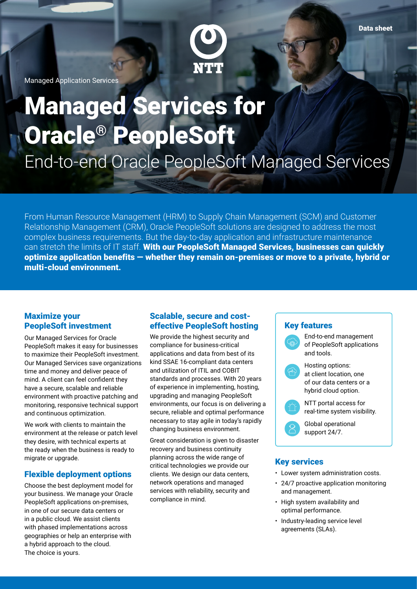

Managed Application Services

# Managed Services for Oracle® PeopleSoft End-to-end Oracle PeopleSoft Managed Services

From Human Resource Management (HRM) to Supply Chain Management (SCM) and Customer Relationship Management (CRM), Oracle PeopleSoft solutions are designed to address the most complex business requirements. But the day-to-day application and infrastructure maintenance can stretch the limits of IT staff. With our PeopleSoft Managed Services, businesses can quickly optimize application benefits — whether they remain on-premises or move to a private, hybrid or multi-cloud environment.

#### Maximize your PeopleSoft investment

Our Managed Services for Oracle PeopleSoft makes it easy for businesses to maximize their PeopleSoft investment. Our Managed Services save organizations time and money and deliver peace of mind. A client can feel confident they have a secure, scalable and reliable environment with proactive patching and monitoring, responsive technical support and continuous optimization.

We work with clients to maintain the environment at the release or patch level they desire, with technical experts at the ready when the business is ready to migrate or upgrade.

#### Flexible deployment options

Choose the best deployment model for your business. We manage your Oracle PeopleSoft applications on-premises, in one of our secure data centers or in a public cloud. We assist clients with phased implementations across geographies or help an enterprise with a hybrid approach to the cloud. The choice is yours.

#### Scalable, secure and costeffective PeopleSoft hosting

We provide the highest security and compliance for business-critical applications and data from best of its kind SSAE 16-compliant data centers and utilization of ITIL and COBIT standards and processes. With 20 years of experience in implementing, hosting, upgrading and managing PeopleSoft environments, our focus is on delivering a secure, reliable and optimal performance necessary to stay agile in today's rapidly changing business environment.

Great consideration is given to disaster recovery and business continuity planning across the wide range of critical technologies we provide our clients. We design our data centers, network operations and managed services with reliability, security and compliance in mind.

# Key features



#### Key services

- Lower system administration costs.
- 24/7 proactive application monitoring and management.
- High system availability and optimal performance.
- Industry-leading service level agreements (SLAs).